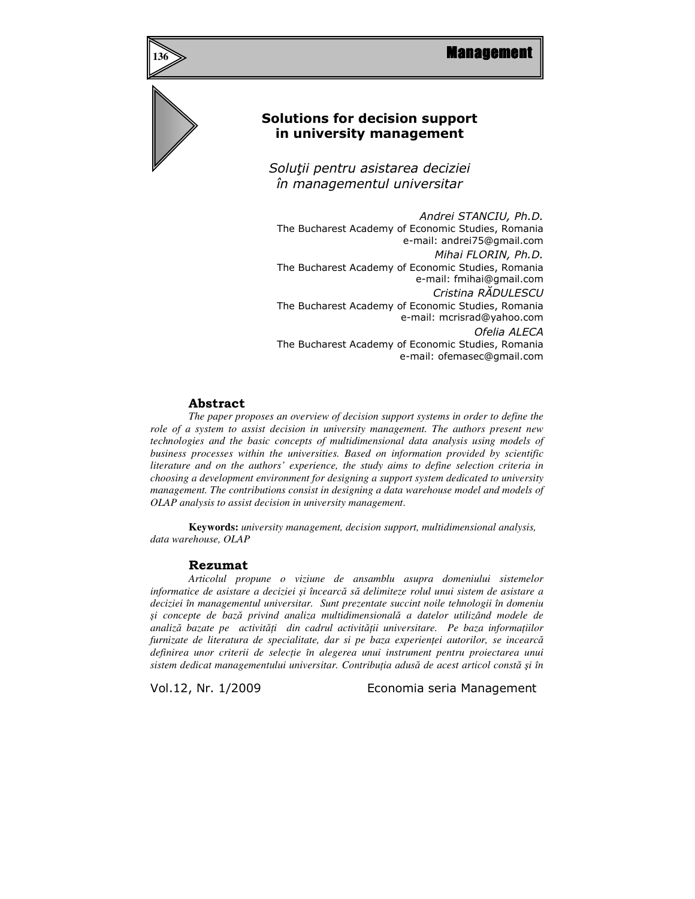

# Solutions for decision support in university management

Soluţii pentru asistarea deciziei în managementul universitar

Andrei STANCIU, Ph.D. The Bucharest Academy of Economic Studies, Romania e-mail: andrei75@gmail.com Mihai FLORIN, Ph.D. The Bucharest Academy of Economic Studies, Romania e-mail: fmihai@gmail.com Cristina RĂDULESCU The Bucharest Academy of Economic Studies, Romania e-mail: mcrisrad@yahoo.com Ofelia ALECA The Bucharest Academy of Economic Studies, Romania e-mail: ofemasec@gmail.com

#### Abstract

*The paper proposes an overview of decision support systems in order to define the role of a system to assist decision in university management. The authors present new technologies and the basic concepts of multidimensional data analysis using models of business processes within the universities. Based on information provided by scientific literature and on the authors' experience, the study aims to define selection criteria in choosing a development environment for designing a support system dedicated to university management. The contributions consist in designing a data warehouse model and models of OLAP analysis to assist decision in university management*.

**Keywords:** *university management, decision support, multidimensional analysis, data warehouse, OLAP* 

#### Rezumat

*Articolul propune o viziune de ansamblu asupra domeniului sistemelor informatice de asistare a deciziei* ş*i încearc*ă *s*ă *delimiteze rolul unui sistem de asistare a deciziei în managementul universitar. Sunt prezentate succint noile tehnologii în domeniu*  ş*i concepte de baz*ă *privind analiza multidimensional*ă *a datelor utilizând modele de analiz*ă *bazate pe activit*ăţ*i din cadrul activit*ăţ*ii universitare. Pe baza informa*ţ*iilor furnizate de literatura de specialitate, dar si pe baza experien*ţ*ei autorilor, se incearc*ă *definirea unor criterii de selec*ţ*ie în alegerea unui instrument pentru proiectarea unui sistem dedicat managementului universitar. Contribu*ţ*ia adus*ă *de acest articol const*ă ş*i în*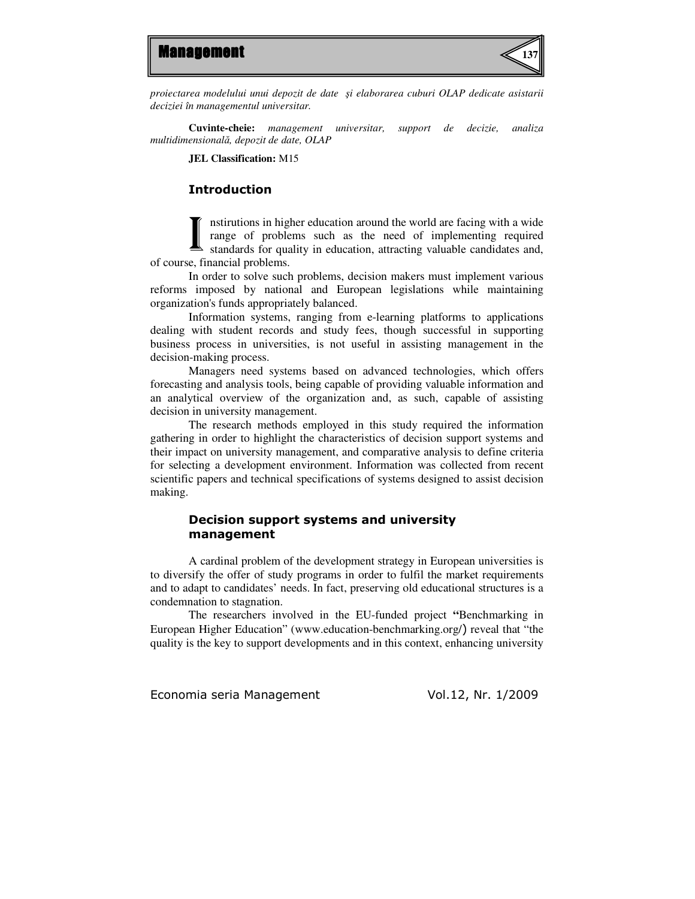

*proiectarea modelului unui depozit de date* ş*i elaborarea cuburi OLAP dedicate asistarii deciziei în managementul universitar.* 

**Cuvinte-cheie:** *management universitar, support de decizie, analiza multidimensional*ă*, depozit de date, OLAP* 

**JEL Classification:** M15

### Introduction

nstirutions in higher education around the world are facing with a wide range of problems such as the need of implementing required standards for quality in education, attracting valuable candidates and, of course, financial problems. I

In order to solve such problems, decision makers must implement various reforms imposed by national and European legislations while maintaining organization's funds appropriately balanced.

Information systems, ranging from e-learning platforms to applications dealing with student records and study fees, though successful in supporting business process in universities, is not useful in assisting management in the decision-making process.

Managers need systems based on advanced technologies, which offers forecasting and analysis tools, being capable of providing valuable information and an analytical overview of the organization and, as such, capable of assisting decision in university management.

The research methods employed in this study required the information gathering in order to highlight the characteristics of decision support systems and their impact on university management, and comparative analysis to define criteria for selecting a development environment. Information was collected from recent scientific papers and technical specifications of systems designed to assist decision making.

### Decision support systems and university management

A cardinal problem of the development strategy in European universities is to diversify the offer of study programs in order to fulfil the market requirements and to adapt to candidates' needs. In fact, preserving old educational structures is a condemnation to stagnation.

The researchers involved in the EU-funded project **"**Benchmarking in European Higher Education" (www.education-benchmarking.org/) reveal that "the quality is the key to support developments and in this context, enhancing university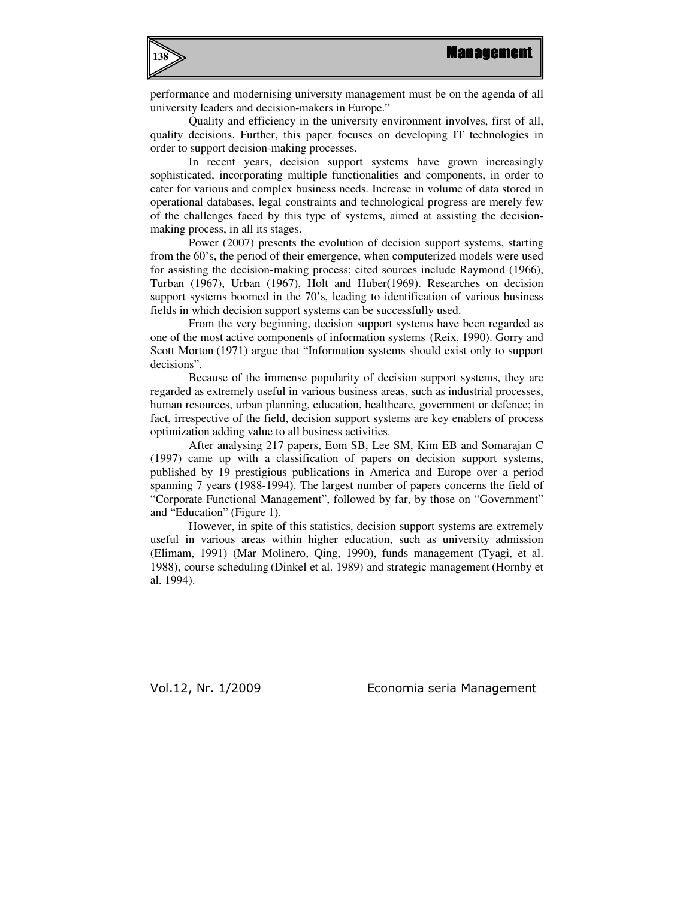

performance and modernising university management must be on the agenda of all university leaders and decision-makers in Europe."

Quality and efficiency in the university environment involves, first of all, quality decisions. Further, this paper focuses on developing IT technologies in order to support decision-making processes.

In recent years, decision support systems have grown increasingly sophisticated, incorporating multiple functionalities and components, in order to cater for various and complex business needs. Increase in volume of data stored in operational databases, legal constraints and technological progress are merely few of the challenges faced by this type of systems, aimed at assisting the decisionmaking process, in all its stages.

Power (2007) presents the evolution of decision support systems, starting from the 60's, the period of their emergence, when computerized models were used for assisting the decision-making process; cited sources include Raymond (1966), Turban (1967), Urban (1967), Holt and Huber(1969). Researches on decision support systems boomed in the 70's, leading to identification of various business fields in which decision support systems can be successfully used.

From the very beginning, decision support systems have been regarded as one of the most active components of information systems (Reix, 1990). Gorry and Scott Morton (1971) argue that "Information systems should exist only to support decisions".

Because of the immense popularity of decision support systems, they are regarded as extremely useful in various business areas, such as industrial processes, human resources, urban planning, education, healthcare, government or defence; in fact, irrespective of the field, decision support systems are key enablers of process optimization adding value to all business activities.

After analysing 217 papers, Eom SB, Lee SM, Kim EB and Somarajan C (1997) came up with a classification of papers on decision support systems, published by 19 prestigious publications in America and Europe over a period spanning 7 years (1988-1994). The largest number of papers concerns the field of "Corporate Functional Management", followed by far, by those on "Government" and "Education" (Figure 1).

However, in spite of this statistics, decision support systems are extremely useful in various areas within higher education, such as university admission (Elimam, 1991) (Mar Molinero, Qing, 1990), funds management (Tyagi, et al. 1988), course scheduling (Dinkel et al. 1989) and strategic management (Hornby et al. 1994).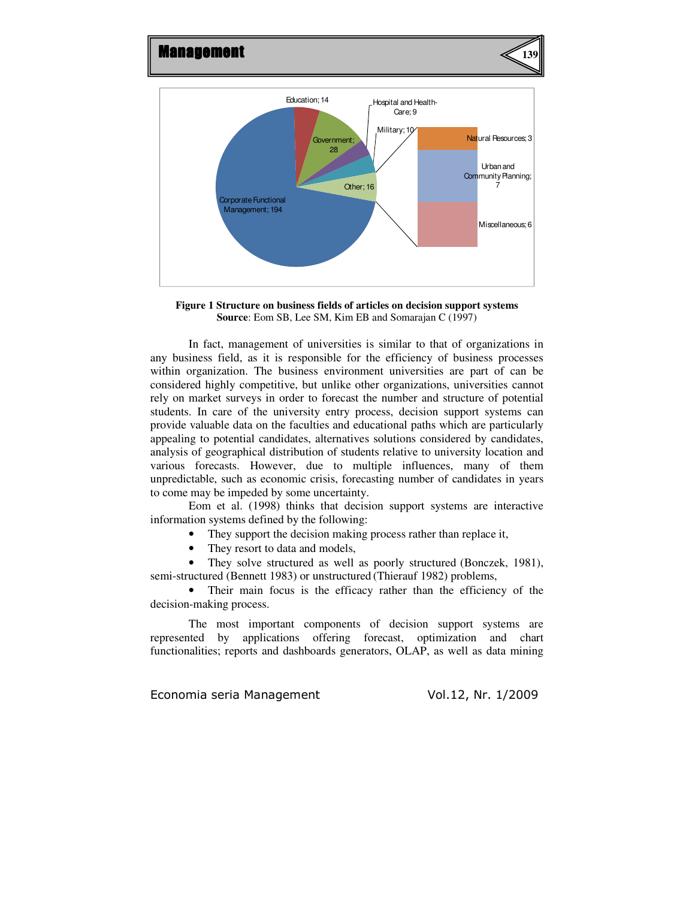

**Figure 1 Structure on business fields of articles on decision support systems Source**: Eom SB, Lee SM, Kim EB and Somarajan C (1997)

In fact, management of universities is similar to that of organizations in any business field, as it is responsible for the efficiency of business processes within organization. The business environment universities are part of can be considered highly competitive, but unlike other organizations, universities cannot rely on market surveys in order to forecast the number and structure of potential students. In care of the university entry process, decision support systems can provide valuable data on the faculties and educational paths which are particularly appealing to potential candidates, alternatives solutions considered by candidates, analysis of geographical distribution of students relative to university location and various forecasts. However, due to multiple influences, many of them unpredictable, such as economic crisis, forecasting number of candidates in years to come may be impeded by some uncertainty.

Eom et al. (1998) thinks that decision support systems are interactive information systems defined by the following:

• They support the decision making process rather than replace it,

• They resort to data and models,

• They solve structured as well as poorly structured (Bonczek, 1981), semi-structured (Bennett 1983) or unstructured (Thierauf 1982) problems,

• Their main focus is the efficacy rather than the efficiency of the decision-making process.

The most important components of decision support systems are represented by applications offering forecast, optimization and chart functionalities; reports and dashboards generators, OLAP, as well as data mining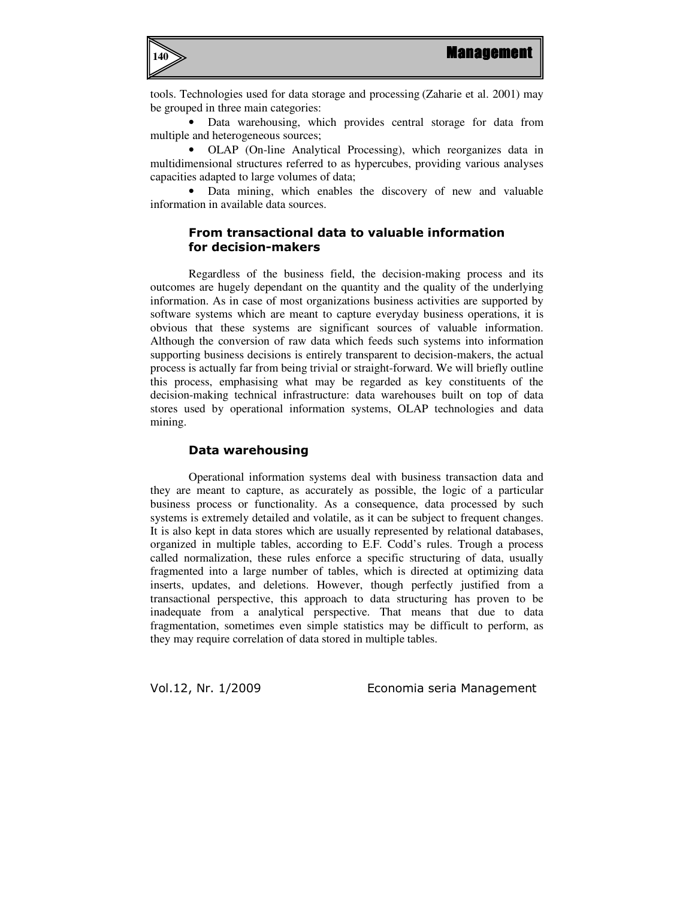

tools. Technologies used for data storage and processing (Zaharie et al. 2001) may be grouped in three main categories:

• Data warehousing, which provides central storage for data from multiple and heterogeneous sources;

• OLAP (On-line Analytical Processing), which reorganizes data in multidimensional structures referred to as hypercubes, providing various analyses capacities adapted to large volumes of data;

• Data mining, which enables the discovery of new and valuable information in available data sources.

# From transactional data to valuable information for decision-makers

Regardless of the business field, the decision-making process and its outcomes are hugely dependant on the quantity and the quality of the underlying information. As in case of most organizations business activities are supported by software systems which are meant to capture everyday business operations, it is obvious that these systems are significant sources of valuable information. Although the conversion of raw data which feeds such systems into information supporting business decisions is entirely transparent to decision-makers, the actual process is actually far from being trivial or straight-forward. We will briefly outline this process, emphasising what may be regarded as key constituents of the decision-making technical infrastructure: data warehouses built on top of data stores used by operational information systems, OLAP technologies and data mining.

### Data warehousing

Operational information systems deal with business transaction data and they are meant to capture, as accurately as possible, the logic of a particular business process or functionality. As a consequence, data processed by such systems is extremely detailed and volatile, as it can be subject to frequent changes. It is also kept in data stores which are usually represented by relational databases, organized in multiple tables, according to E.F. Codd's rules. Trough a process called normalization, these rules enforce a specific structuring of data, usually fragmented into a large number of tables, which is directed at optimizing data inserts, updates, and deletions. However, though perfectly justified from a transactional perspective, this approach to data structuring has proven to be inadequate from a analytical perspective. That means that due to data fragmentation, sometimes even simple statistics may be difficult to perform, as they may require correlation of data stored in multiple tables.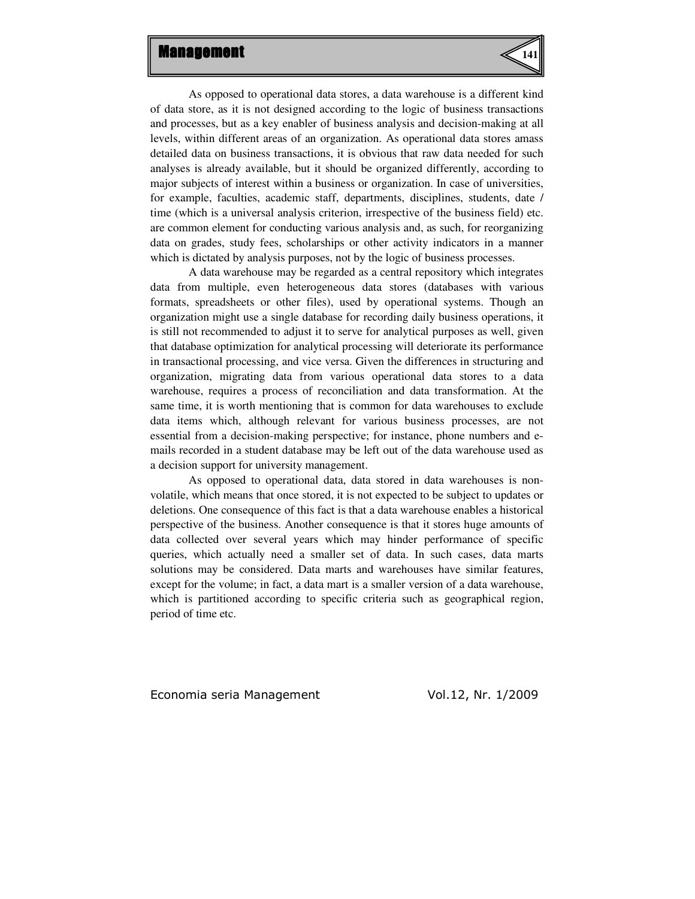

As opposed to operational data stores, a data warehouse is a different kind of data store, as it is not designed according to the logic of business transactions and processes, but as a key enabler of business analysis and decision-making at all levels, within different areas of an organization. As operational data stores amass detailed data on business transactions, it is obvious that raw data needed for such analyses is already available, but it should be organized differently, according to major subjects of interest within a business or organization. In case of universities, for example, faculties, academic staff, departments, disciplines, students, date / time (which is a universal analysis criterion, irrespective of the business field) etc. are common element for conducting various analysis and, as such, for reorganizing data on grades, study fees, scholarships or other activity indicators in a manner which is dictated by analysis purposes, not by the logic of business processes.

A data warehouse may be regarded as a central repository which integrates data from multiple, even heterogeneous data stores (databases with various formats, spreadsheets or other files), used by operational systems. Though an organization might use a single database for recording daily business operations, it is still not recommended to adjust it to serve for analytical purposes as well, given that database optimization for analytical processing will deteriorate its performance in transactional processing, and vice versa. Given the differences in structuring and organization, migrating data from various operational data stores to a data warehouse, requires a process of reconciliation and data transformation. At the same time, it is worth mentioning that is common for data warehouses to exclude data items which, although relevant for various business processes, are not essential from a decision-making perspective; for instance, phone numbers and emails recorded in a student database may be left out of the data warehouse used as a decision support for university management.

As opposed to operational data, data stored in data warehouses is nonvolatile, which means that once stored, it is not expected to be subject to updates or deletions. One consequence of this fact is that a data warehouse enables a historical perspective of the business. Another consequence is that it stores huge amounts of data collected over several years which may hinder performance of specific queries, which actually need a smaller set of data. In such cases, data marts solutions may be considered. Data marts and warehouses have similar features, except for the volume; in fact, a data mart is a smaller version of a data warehouse, which is partitioned according to specific criteria such as geographical region, period of time etc.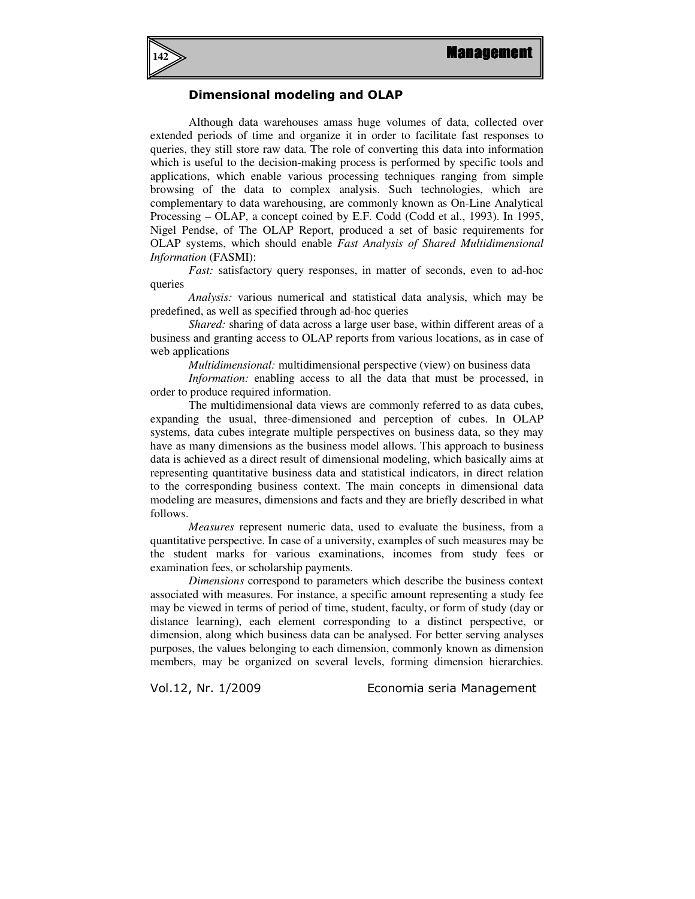

#### Dimensional modeling and OLAP

Although data warehouses amass huge volumes of data, collected over extended periods of time and organize it in order to facilitate fast responses to queries, they still store raw data. The role of converting this data into information which is useful to the decision-making process is performed by specific tools and applications, which enable various processing techniques ranging from simple browsing of the data to complex analysis. Such technologies, which are complementary to data warehousing, are commonly known as On-Line Analytical Processing – OLAP, a concept coined by E.F. Codd (Codd et al., 1993). In 1995, Nigel Pendse, of The OLAP Report, produced a set of basic requirements for OLAP systems, which should enable *Fast Analysis of Shared Multidimensional Information* (FASMI):

*Fast:* satisfactory query responses, in matter of seconds, even to ad-hoc queries

*Analysis:* various numerical and statistical data analysis, which may be predefined, as well as specified through ad-hoc queries

*Shared:* sharing of data across a large user base, within different areas of a business and granting access to OLAP reports from various locations, as in case of web applications

*Multidimensional:* multidimensional perspective (view) on business data

*Information:* enabling access to all the data that must be processed, in order to produce required information.

The multidimensional data views are commonly referred to as data cubes, expanding the usual, three-dimensioned and perception of cubes. In OLAP systems, data cubes integrate multiple perspectives on business data, so they may have as many dimensions as the business model allows. This approach to business data is achieved as a direct result of dimensional modeling, which basically aims at representing quantitative business data and statistical indicators, in direct relation to the corresponding business context. The main concepts in dimensional data modeling are measures, dimensions and facts and they are briefly described in what follows.

*Measures* represent numeric data, used to evaluate the business, from a quantitative perspective. In case of a university, examples of such measures may be the student marks for various examinations, incomes from study fees or examination fees, or scholarship payments.

*Dimensions* correspond to parameters which describe the business context associated with measures. For instance, a specific amount representing a study fee may be viewed in terms of period of time, student, faculty, or form of study (day or distance learning), each element corresponding to a distinct perspective, or dimension, along which business data can be analysed. For better serving analyses purposes, the values belonging to each dimension, commonly known as dimension members, may be organized on several levels, forming dimension hierarchies.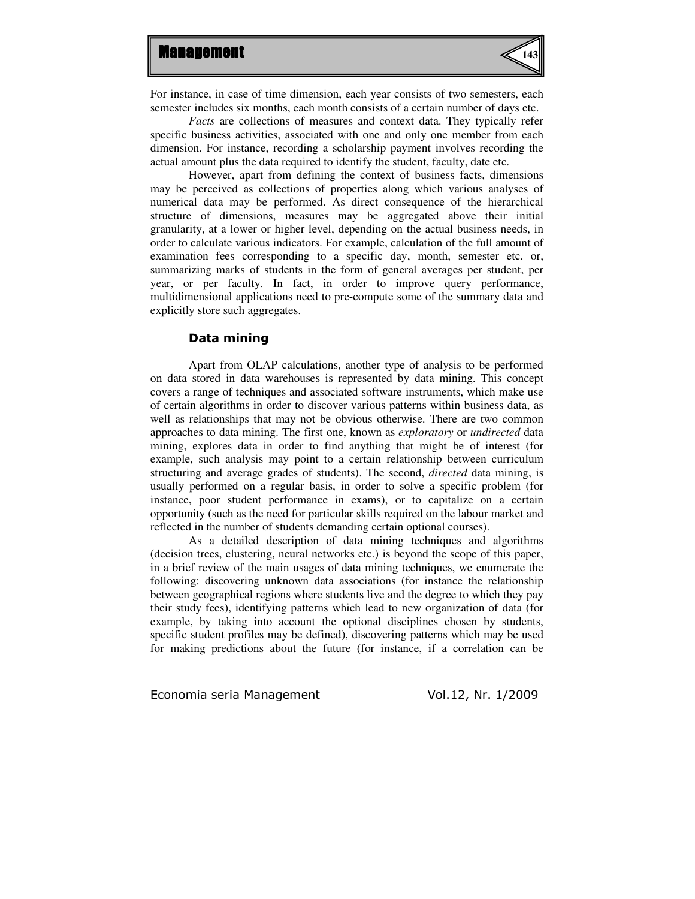

For instance, in case of time dimension, each year consists of two semesters, each semester includes six months, each month consists of a certain number of days etc.

*Facts* are collections of measures and context data. They typically refer specific business activities, associated with one and only one member from each dimension. For instance, recording a scholarship payment involves recording the actual amount plus the data required to identify the student, faculty, date etc.

However, apart from defining the context of business facts, dimensions may be perceived as collections of properties along which various analyses of numerical data may be performed. As direct consequence of the hierarchical structure of dimensions, measures may be aggregated above their initial granularity, at a lower or higher level, depending on the actual business needs, in order to calculate various indicators. For example, calculation of the full amount of examination fees corresponding to a specific day, month, semester etc. or, summarizing marks of students in the form of general averages per student, per year, or per faculty. In fact, in order to improve query performance, multidimensional applications need to pre-compute some of the summary data and explicitly store such aggregates.

### Data mining

Apart from OLAP calculations, another type of analysis to be performed on data stored in data warehouses is represented by data mining. This concept covers a range of techniques and associated software instruments, which make use of certain algorithms in order to discover various patterns within business data, as well as relationships that may not be obvious otherwise. There are two common approaches to data mining. The first one, known as *exploratory* or *undirected* data mining, explores data in order to find anything that might be of interest (for example, such analysis may point to a certain relationship between curriculum structuring and average grades of students). The second, *directed* data mining, is usually performed on a regular basis, in order to solve a specific problem (for instance, poor student performance in exams), or to capitalize on a certain opportunity (such as the need for particular skills required on the labour market and reflected in the number of students demanding certain optional courses).

As a detailed description of data mining techniques and algorithms (decision trees, clustering, neural networks etc.) is beyond the scope of this paper, in a brief review of the main usages of data mining techniques, we enumerate the following: discovering unknown data associations (for instance the relationship between geographical regions where students live and the degree to which they pay their study fees), identifying patterns which lead to new organization of data (for example, by taking into account the optional disciplines chosen by students, specific student profiles may be defined), discovering patterns which may be used for making predictions about the future (for instance, if a correlation can be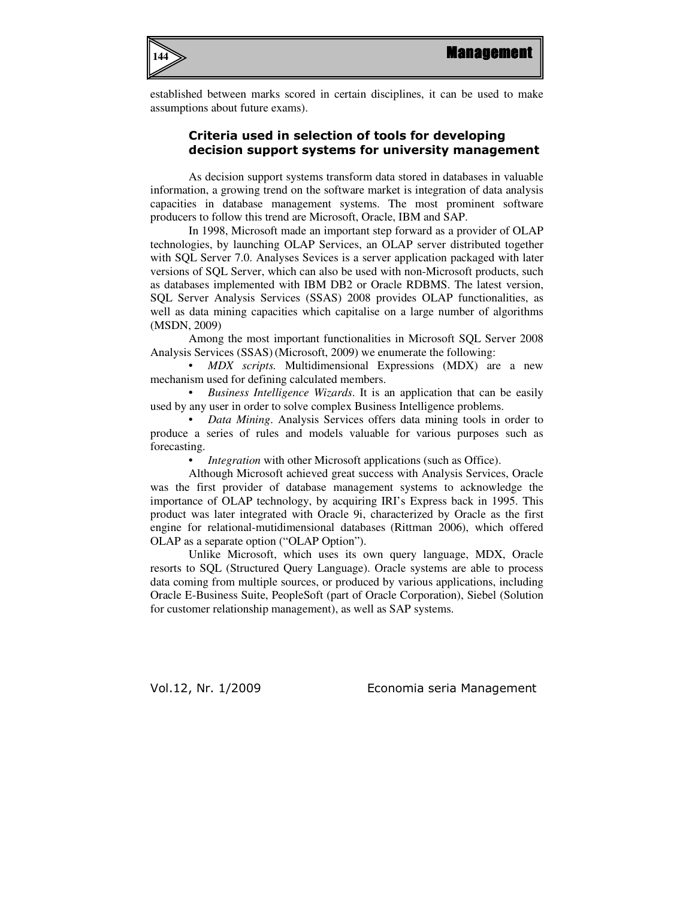

established between marks scored in certain disciplines, it can be used to make assumptions about future exams).

### Criteria used in selection of tools for developing decision support systems for university management

As decision support systems transform data stored in databases in valuable information, a growing trend on the software market is integration of data analysis capacities in database management systems. The most prominent software producers to follow this trend are Microsoft, Oracle, IBM and SAP.

In 1998, Microsoft made an important step forward as a provider of OLAP technologies, by launching OLAP Services, an OLAP server distributed together with SQL Server 7.0. Analyses Sevices is a server application packaged with later versions of SQL Server, which can also be used with non-Microsoft products, such as databases implemented with IBM DB2 or Oracle RDBMS. The latest version, SQL Server Analysis Services (SSAS) 2008 provides OLAP functionalities, as well as data mining capacities which capitalise on a large number of algorithms (MSDN, 2009)

Among the most important functionalities in Microsoft SQL Server 2008 Analysis Services (SSAS)(Microsoft, 2009) we enumerate the following:

• *MDX scripts.* Multidimensional Expressions (MDX) are a new mechanism used for defining calculated members.

• *Business Intelligence Wizards*. It is an application that can be easily used by any user in order to solve complex Business Intelligence problems.

• *Data Mining*. Analysis Services offers data mining tools in order to produce a series of rules and models valuable for various purposes such as forecasting.

• *Integration* with other Microsoft applications (such as Office).

Although Microsoft achieved great success with Analysis Services, Oracle was the first provider of database management systems to acknowledge the importance of OLAP technology, by acquiring IRI's Express back in 1995. This product was later integrated with Oracle 9i, characterized by Oracle as the first engine for relational-mutidimensional databases (Rittman 2006), which offered OLAP as a separate option ("OLAP Option").

Unlike Microsoft, which uses its own query language, MDX, Oracle resorts to SQL (Structured Query Language). Oracle systems are able to process data coming from multiple sources, or produced by various applications, including Oracle E-Business Suite, PeopleSoft (part of Oracle Corporation), Siebel (Solution for customer relationship management), as well as SAP systems.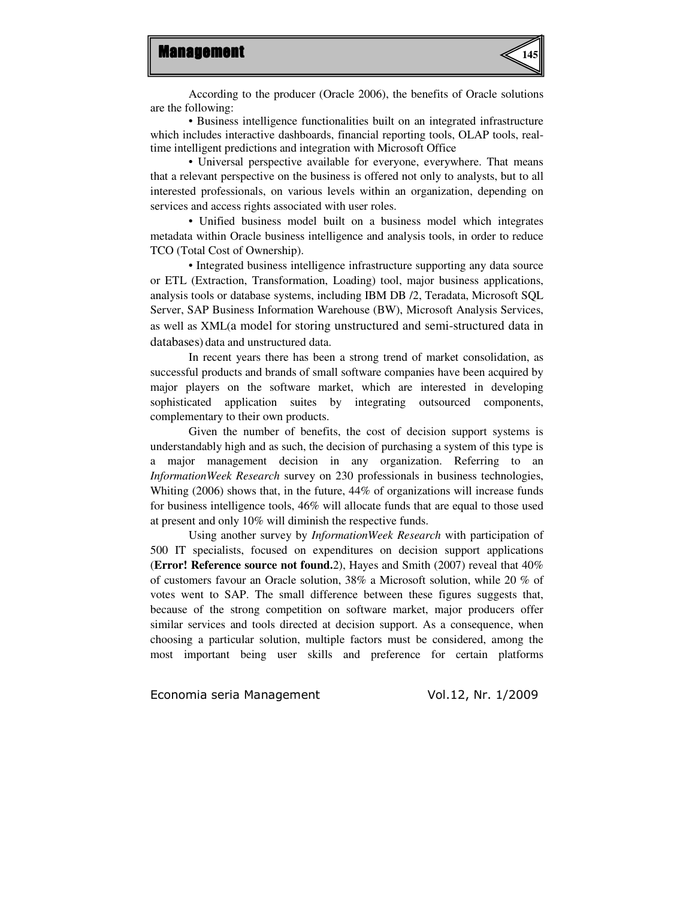

According to the producer (Oracle 2006), the benefits of Oracle solutions are the following:

• Business intelligence functionalities built on an integrated infrastructure which includes interactive dashboards, financial reporting tools, OLAP tools, realtime intelligent predictions and integration with Microsoft Office

• Universal perspective available for everyone, everywhere. That means that a relevant perspective on the business is offered not only to analysts, but to all interested professionals, on various levels within an organization, depending on services and access rights associated with user roles.

• Unified business model built on a business model which integrates metadata within Oracle business intelligence and analysis tools, in order to reduce TCO (Total Cost of Ownership).

• Integrated business intelligence infrastructure supporting any data source or ETL (Extraction, Transformation, Loading) tool, major business applications, analysis tools or database systems, including IBM DB /2, Teradata, Microsoft SQL Server, SAP Business Information Warehouse (BW), Microsoft Analysis Services, as well as XML(a model for storing unstructured and semi-structured data in databases) data and unstructured data.

In recent years there has been a strong trend of market consolidation, as successful products and brands of small software companies have been acquired by major players on the software market, which are interested in developing sophisticated application suites by integrating outsourced components, complementary to their own products.

Given the number of benefits, the cost of decision support systems is understandably high and as such, the decision of purchasing a system of this type is a major management decision in any organization. Referring to an *InformationWeek Research* survey on 230 professionals in business technologies, Whiting (2006) shows that, in the future, 44% of organizations will increase funds for business intelligence tools, 46% will allocate funds that are equal to those used at present and only 10% will diminish the respective funds.

Using another survey by *InformationWeek Research* with participation of 500 IT specialists, focused on expenditures on decision support applications (**Error! Reference source not found.**2), Hayes and Smith (2007) reveal that 40% of customers favour an Oracle solution, 38% a Microsoft solution, while 20 % of votes went to SAP. The small difference between these figures suggests that, because of the strong competition on software market, major producers offer similar services and tools directed at decision support. As a consequence, when choosing a particular solution, multiple factors must be considered, among the most important being user skills and preference for certain platforms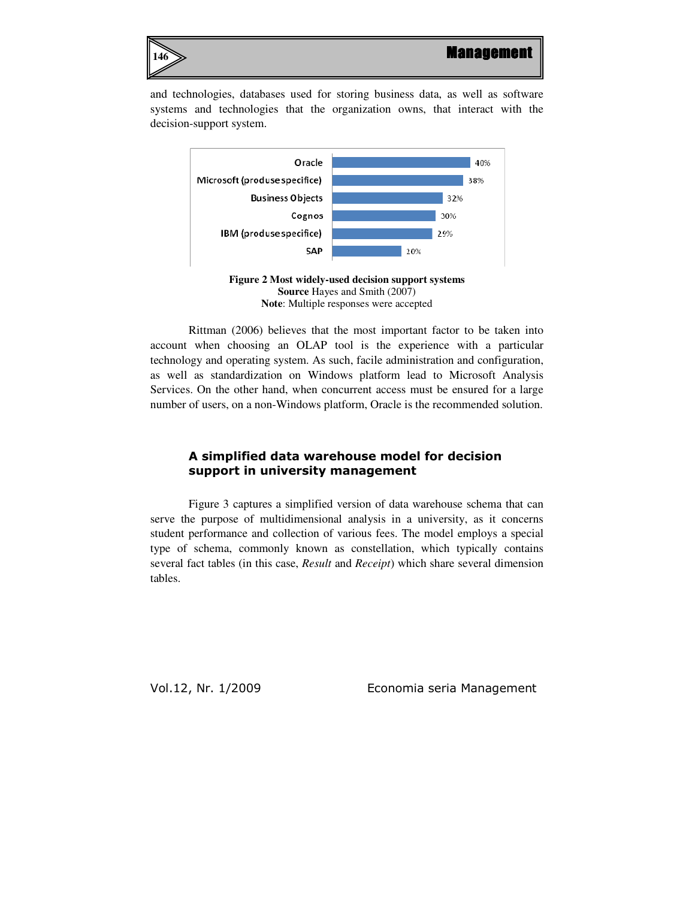

and technologies, databases used for storing business data, as well as software systems and technologies that the organization owns, that interact with the decision-support system.



**Figure 2 Most widely-used decision support systems Source** Hayes and Smith (2007) **Note**: Multiple responses were accepted

Rittman (2006) believes that the most important factor to be taken into account when choosing an OLAP tool is the experience with a particular technology and operating system. As such, facile administration and configuration, as well as standardization on Windows platform lead to Microsoft Analysis Services. On the other hand, when concurrent access must be ensured for a large number of users, on a non-Windows platform, Oracle is the recommended solution.

# A simplified data warehouse model for decision support in university management

Figure 3 captures a simplified version of data warehouse schema that can serve the purpose of multidimensional analysis in a university, as it concerns student performance and collection of various fees. The model employs a special type of schema, commonly known as constellation, which typically contains several fact tables (in this case, *Result* and *Receipt*) which share several dimension tables.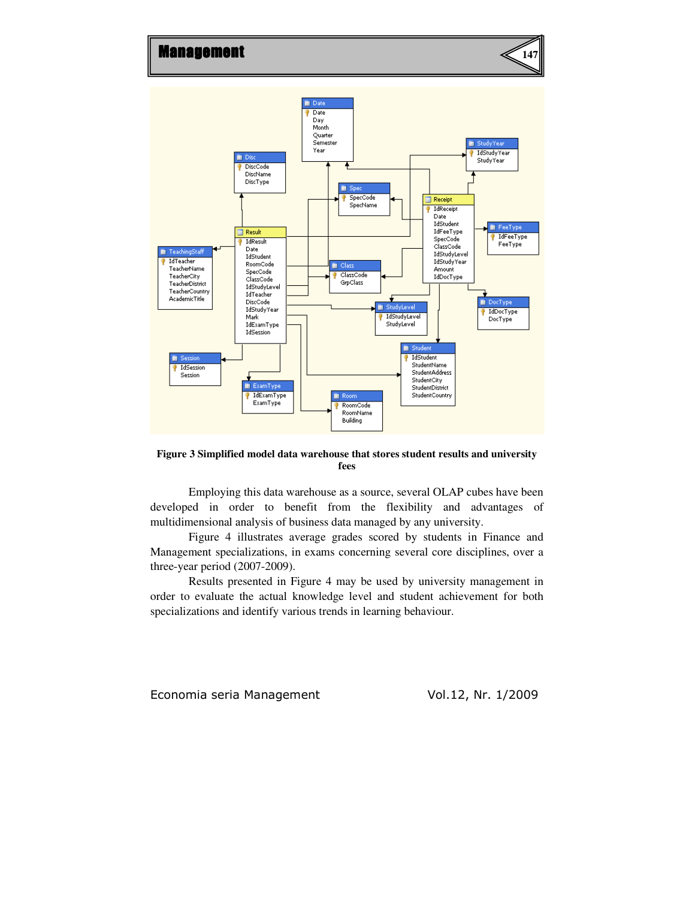

**Figure 3 Simplified model data warehouse that stores student results and university fees** 

Employing this data warehouse as a source, several OLAP cubes have been developed in order to benefit from the flexibility and advantages of multidimensional analysis of business data managed by any university.

Figure 4 illustrates average grades scored by students in Finance and Management specializations, in exams concerning several core disciplines, over a three-year period (2007-2009).

Results presented in Figure 4 may be used by university management in order to evaluate the actual knowledge level and student achievement for both specializations and identify various trends in learning behaviour.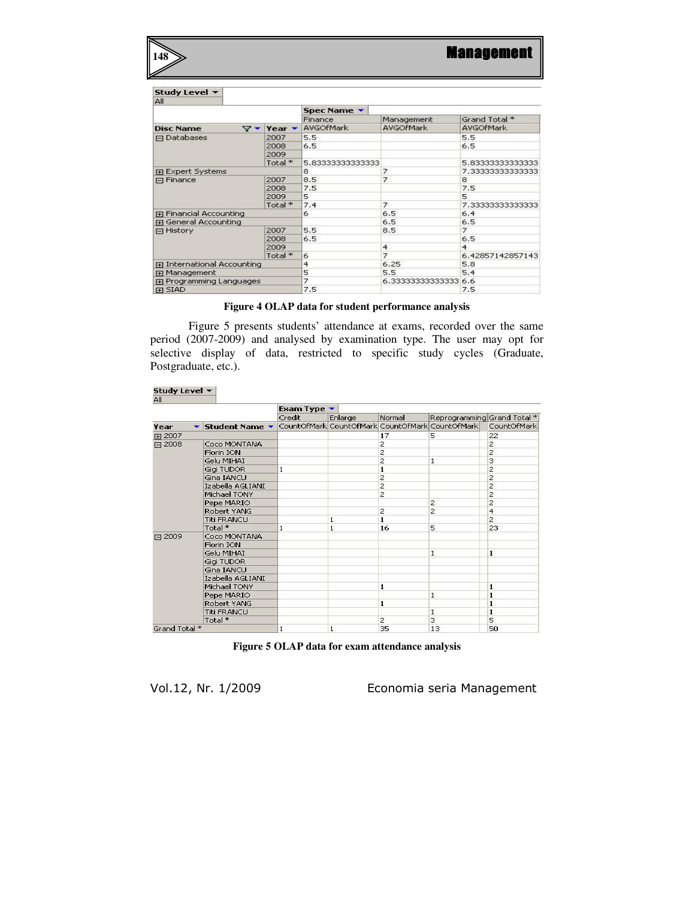| Study Level $\star$<br>All |                                               |                  |                  |                  |
|----------------------------|-----------------------------------------------|------------------|------------------|------------------|
|                            |                                               | Spec Name v      |                  |                  |
|                            |                                               | Finance          | Management       | Grand Total*     |
| <b>Disc Name</b>           | Year $\star$<br>$\nabla$ $\blacktriangledown$ | <b>AVGOfMark</b> | <b>AVGOfMark</b> | AVGOfMark        |
| 日 Databases                | 2007                                          | 5.5              |                  | 5.5              |
|                            | 2008                                          | 6.5              |                  | 6.5              |
|                            | 2009                                          |                  |                  |                  |
|                            | Total*                                        | 5,83333333333333 |                  | 5.83333333333333 |
| 田 Expert Systems           |                                               |                  | 7                | 7.33333333333333 |
| ⊟ Finance                  | 2007                                          | 8.5              | 7                | 8                |
|                            | 2008                                          | 7.5              |                  | 7.5              |
|                            | 2009                                          | 5                |                  | 5                |
|                            | Total*                                        | 7.4              | 7                | 7.33333333333333 |
| 田 Financial Accounting     |                                               | 6                | 6.5              | 6.4              |
| 田 General Accounting       |                                               |                  | 6.5              | 6.5              |
| <b>日 History</b>           | 2007                                          | 5.5              | 8.5              | 7                |
|                            | 2008                                          | 6.5              |                  | 6.5              |
|                            | 2009                                          |                  | $\overline{4}$   | $\overline{4}$   |
|                            | Total*                                        | 6                | 7                | 6.42857142857143 |
| 田 International Accounting |                                               | $\overline{4}$   | 6.25             | 5.8              |
| 田 Management               |                                               | 5                | 5.5              | 5.4              |
| Fil Programming Languages  |                                               | 7                | 6.33333333333333 | 6.6              |
| 田 SIAD                     |                                               | 7.5              |                  | 7.5              |

**Figure 4 OLAP data for student performance analysis**

Figure 5 presents students' attendance at exams, recorded over the same period (2007-2009) and analysed by examination type. The user may opt for selective display of data, restricted to specific study cycles (Graduate, Postgraduate, etc.).

|                                  |                    | Exam Type $\blacktriangledown$ |              |                |                                                 |                |
|----------------------------------|--------------------|--------------------------------|--------------|----------------|-------------------------------------------------|----------------|
|                                  |                    | Credit                         | Enlarge      | Normal         | Reprogramming Grand Total *                     |                |
| Year<br>$\overline{\phantom{a}}$ | Student Name       |                                |              |                | CountOfMark CountOfMark CountOfMark CountOfMark | CountOfMark    |
| 田 2007                           |                    |                                |              | 17             | 5.                                              | 22             |
| 日2008                            | Coco MONTANA       |                                |              | 2              |                                                 | $\mathbf{Z}$   |
|                                  | Florin ION         |                                |              | $\overline{c}$ |                                                 | $\overline{c}$ |
|                                  | Gelu MIHAI         |                                |              | 2              | $\mathbf{1}$                                    | 3              |
|                                  | Gigi TUDOR         | 1                              |              | $\mathbf{1}$   |                                                 | $\overline{c}$ |
|                                  | Gina IANCU         |                                |              | $\overline{c}$ |                                                 | $\overline{c}$ |
|                                  | Izabella AGLIANI   |                                |              | $\overline{c}$ |                                                 | $\overline{2}$ |
|                                  | Michael TONY       |                                |              | 2              |                                                 | $\overline{c}$ |
|                                  | Pepe MARIO         |                                |              |                | $\overline{c}$                                  | $\overline{c}$ |
|                                  | Robert YANG        |                                |              | $\overline{c}$ | $\overline{c}$                                  | $\overline{4}$ |
|                                  | <b>Titi FRANCU</b> |                                | $\mathbf{1}$ | $\mathbf{1}$   |                                                 | $\overline{2}$ |
|                                  | Total*             | 1                              | $\mathbf{1}$ | 16             | 5                                               | 23             |
| 日2009                            | Coco MONTANA       |                                |              |                |                                                 |                |
|                                  | Florin ION         |                                |              |                |                                                 |                |
|                                  | Gelu MIHAI         |                                |              |                | $\mathbf{1}$                                    | $\mathbf{1}$   |
|                                  | Gigi TUDOR         |                                |              |                |                                                 |                |
|                                  | Gina IANCU         |                                |              |                |                                                 |                |
|                                  | Izabella AGLIANI   |                                |              |                |                                                 |                |
|                                  | Michael TONY       |                                |              | $\mathbf{1}$   |                                                 | $\mathbf{1}$   |
|                                  | Pepe MARIO         |                                |              |                | 1                                               | $\mathbf{1}$   |
|                                  | Robert YANG        |                                |              | $\mathbf{1}$   |                                                 | $\mathbf{1}$   |
|                                  | <b>Titi FRANCU</b> |                                |              |                | $\mathbf{1}$                                    | $\mathbf{1}$   |
| Total*                           |                    |                                |              | $\overline{c}$ | 3                                               | 5              |
| Grand Total*                     |                    | 1                              | 1            | 35             | 13                                              | 50             |

**Figure 5 OLAP data for exam attendance analysis** 

**148**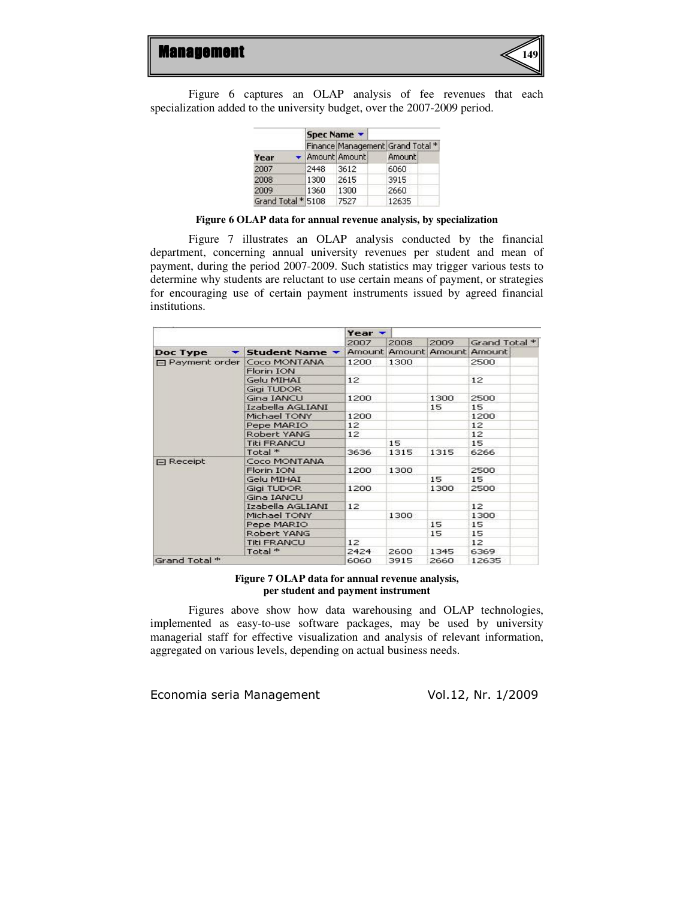

Figure 6 captures an OLAP analysis of fee revenues that each specialization added to the university budget, over the 2007-2009 period.

|                    | Spec Name v                      |                 |        |  |
|--------------------|----------------------------------|-----------------|--------|--|
| Year               | Finance Management Grand Total * |                 |        |  |
|                    |                                  | ▼ Amount Amount | Amount |  |
| 2007               | 2448                             | 3612            | 6060   |  |
| 2008               | 1300                             | 2615            | 3915   |  |
| 2009               | 1360                             | 1300            | 2660   |  |
| Grand Total * 5108 |                                  | 7527            | 12635  |  |

#### **Figure 6 OLAP data for annual revenue analysis, by specialization**

Figure 7 illustrates an OLAP analysis conducted by the financial department, concerning annual university revenues per student and mean of payment, during the period 2007-2009. Such statistics may trigger various tests to determine why students are reluctant to use certain means of payment, or strategies for encouraging use of certain payment instruments issued by agreed financial institutions.

|                                      |                       | Year <b>-</b>   |      |                             |               |
|--------------------------------------|-----------------------|-----------------|------|-----------------------------|---------------|
|                                      |                       | 2007            | 2008 | 2009                        | Grand Total * |
| Doc Type<br>$\overline{\phantom{0}}$ | Student Name <b>v</b> |                 |      | Amount Amount Amount Amount |               |
| <b>□ Payment order</b>               | Coco MONTANA          | 1200            | 1300 |                             | 2500          |
|                                      | Florin ION            |                 |      |                             |               |
|                                      | Gelu MIHAI            | 12              |      |                             | 12            |
|                                      | Gigi TUDOR            |                 |      |                             |               |
|                                      | Gina IANCU            | 1200            |      | 1300                        | 2500          |
|                                      | Izabella AGLIANI      |                 |      | 15                          | 15            |
|                                      | Michael TONY          | 1200            |      |                             | 1200          |
|                                      | Pepe MARIO            | 12              |      |                             | 12            |
|                                      | Robert YANG           | 12 <sup>5</sup> |      |                             | 12            |
|                                      | <b>Titi FRANCU</b>    |                 | 15   |                             | 15            |
|                                      | Total*                | 3636            | 1315 | 1315                        | 6266          |
| $\Box$ Receipt                       | Coco MONTANA          |                 |      |                             |               |
|                                      | Florin ION            | 1200            | 1300 |                             | 2500          |
|                                      | Gelu MIHAI            |                 |      | 15                          | 15            |
|                                      | Gigi TUDOR            | 1200            |      | 1300                        | 2500          |
|                                      | Gina IANCU            |                 |      |                             |               |
|                                      | Izabella AGLIANI      | 12              |      |                             | 12            |
|                                      | Michael TONY          |                 | 1300 |                             | 1300          |
|                                      | Pepe MARIO            |                 |      | 15                          | 15            |
|                                      | Robert YANG           |                 |      | 15                          | 15            |
|                                      | <b>Titi FRANCU</b>    | 12 <sup>2</sup> |      |                             | 12            |
|                                      | Total*                | 2424            | 2600 | 1345                        | 6369          |
| Grand Total*                         |                       | 6060            | 3915 | 2660                        | 12635         |

#### **Figure 7 OLAP data for annual revenue analysis, per student and payment instrument**

Figures above show how data warehousing and OLAP technologies, implemented as easy-to-use software packages, may be used by university managerial staff for effective visualization and analysis of relevant information, aggregated on various levels, depending on actual business needs.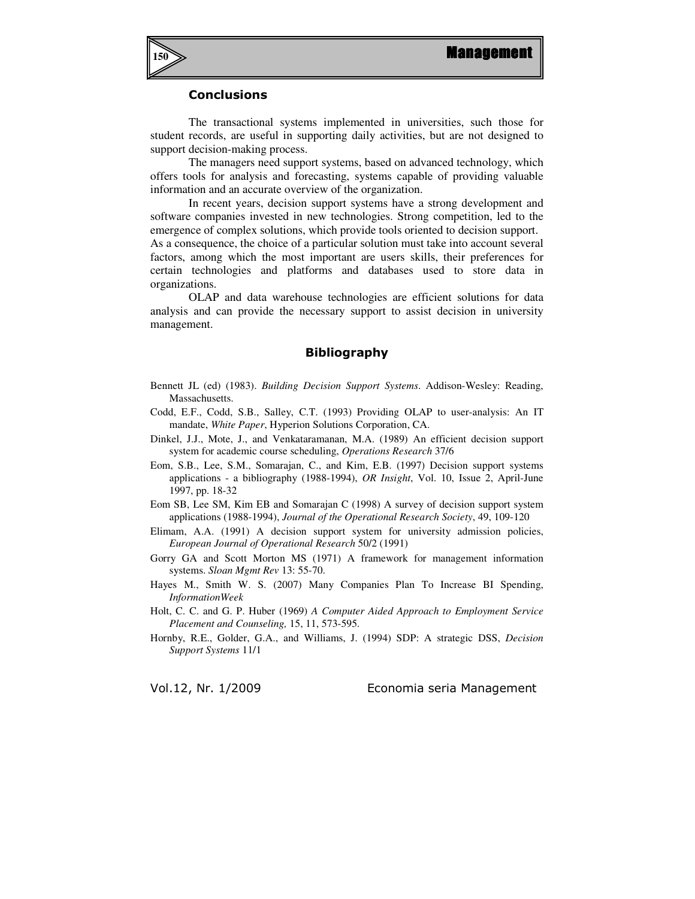

#### **Conclusions**

The transactional systems implemented in universities, such those for student records, are useful in supporting daily activities, but are not designed to support decision-making process.

The managers need support systems, based on advanced technology, which offers tools for analysis and forecasting, systems capable of providing valuable information and an accurate overview of the organization.

In recent years, decision support systems have a strong development and software companies invested in new technologies. Strong competition, led to the emergence of complex solutions, which provide tools oriented to decision support. As a consequence, the choice of a particular solution must take into account several factors, among which the most important are users skills, their preferences for certain technologies and platforms and databases used to store data in organizations.

OLAP and data warehouse technologies are efficient solutions for data analysis and can provide the necessary support to assist decision in university management.

### Bibliography

- Bennett JL (ed) (1983). *Building Decision Support Systems*. Addison-Wesley: Reading, Massachusetts.
- Codd, E.F., Codd, S.B., Salley, C.T. (1993) Providing OLAP to user-analysis: An IT mandate, *White Paper*, Hyperion Solutions Corporation, CA.
- Dinkel, J.J., Mote, J., and Venkataramanan, M.A. (1989) An efficient decision support system for academic course scheduling, *Operations Research* 37/6
- Eom, S.B., Lee, S.M., Somarajan, C., and Kim, E.B. (1997) Decision support systems applications - a bibliography (1988-1994), *OR Insight*, Vol. 10, Issue 2, April-June 1997, pp. 18-32
- Eom SB, Lee SM, Kim EB and Somarajan C (1998) A survey of decision support system applications (1988-1994), *Journal of the Operational Research Society*, 49, 109-120
- Elimam, A.A. (1991) A decision support system for university admission policies, *European Journal of Operational Research* 50/2 (1991)
- Gorry GA and Scott Morton MS (1971) A framework for management information systems. *Sloan Mgmt Rev* 13: 55-70.
- Hayes M., Smith W. S. (2007) Many Companies Plan To Increase BI Spending, *InformationWeek*
- Holt, C. C. and G. P. Huber (1969) *A Computer Aided Approach to Employment Service Placement and Counseling,* 15, 11, 573-595.
- Hornby, R.E., Golder, G.A., and Williams, J. (1994) SDP: A strategic DSS, *Decision Support Systems* 11/1